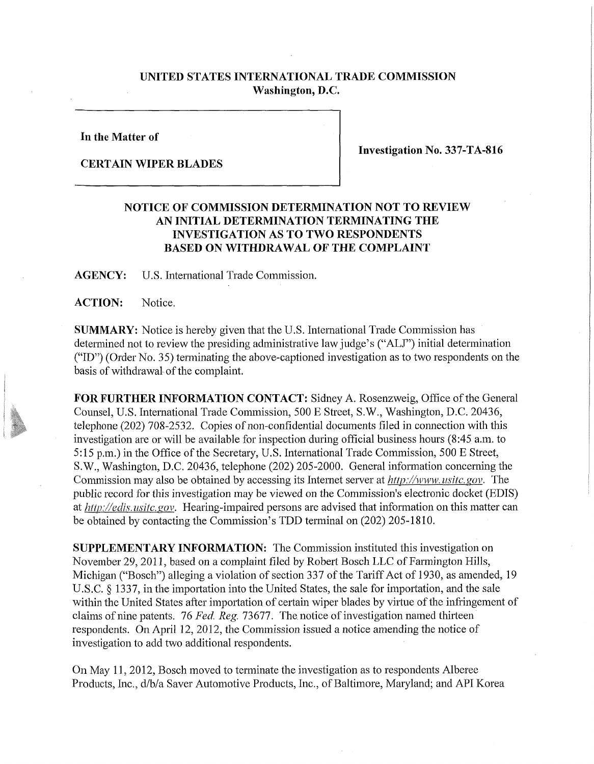## **UNITED STATES INTERNATIONAL TRADE COMMISSION Washington, D.C.**

**In the Matter of** 

**CERTAIN WIPER BLADES** 

**Investigation No. 337-TA-816** 

## **NOTICE OF COMMISSION DETERMINATION NOT TO REVIEW AN INITIAL DETERMINATION TERMINATING THE INVESTIGATION AS TO TWO RESPONDENTS BASED ON WITHDRAWAL OF THE COMPLAINT**

**AGENCY:** U.S. International Trade Commission.

**ACTION:** Notice.

**SUMMARY:** Notice is hereby given that the U.S. International Trade Commission has determined not to review the presiding administrative law judge's ("ALJ") initial determination ("ID") (Order No. 35) terminating the above-captioned investigation as to two respondents on the basis of withdrawal of the complaint.

**FOR FURTHER INFORMATION CONTACT:** Sidney A. Rosenzweig, Office of the General Counsel, U.S. International Trade Commission, 500 E Street, S.W., Washington, D.C. 20436, telephone (202) 708-2532. Copies of non-confidential documents filed in connection with this investigation are or will be available for inspection during official business hours (8:45 a.m. to 5:15 p.m.) in the Office of the Secretary, U.S. International Trade Commission, 500 E Street, S.W., Washington, D.C. 20436, telephone (202) 205-2000. General information concerning the Commission may also be obtained by accessing its Internet server at *http://www.usitc.gov.* The public record for this investigation may be viewed on the Commission's electronic docket (EDIS) at *http://edis. usitc. gov.* Hearing-impaired persons are advised that information on this matter can be obtained by contacting the Commission's TDD terminal on (202) 205-1810.

**SUPPLEMENTARY INFORMATION:** The Commission instituted this investigation on November 29, 2011, based on a complaint filed by Robert Bosch LLC of Farmington Hills, Michigan ("Bosch") alleging a violation of section 337 of the Tariff Act of 1930, as amended, 19 U.S.C. § 1337, in the importation into the United States, the sale for importation, and the sale within the United States after importation of certain wiper blades by virtue of the infringement of claims of nine patents. *16 Fed. Reg.* 73677. The notice of investigation named thirteen respondents. On April 12, 2012, the Commission issued a notice amending the notice of investigation to add two additional respondents.

On May 11, 2012, Bosch moved to terminate the investigation as to respondents Alberee Products, Inc., d/b/a Saver Automotive Products, Inc., of Baltimore, Maryland; and API Korea